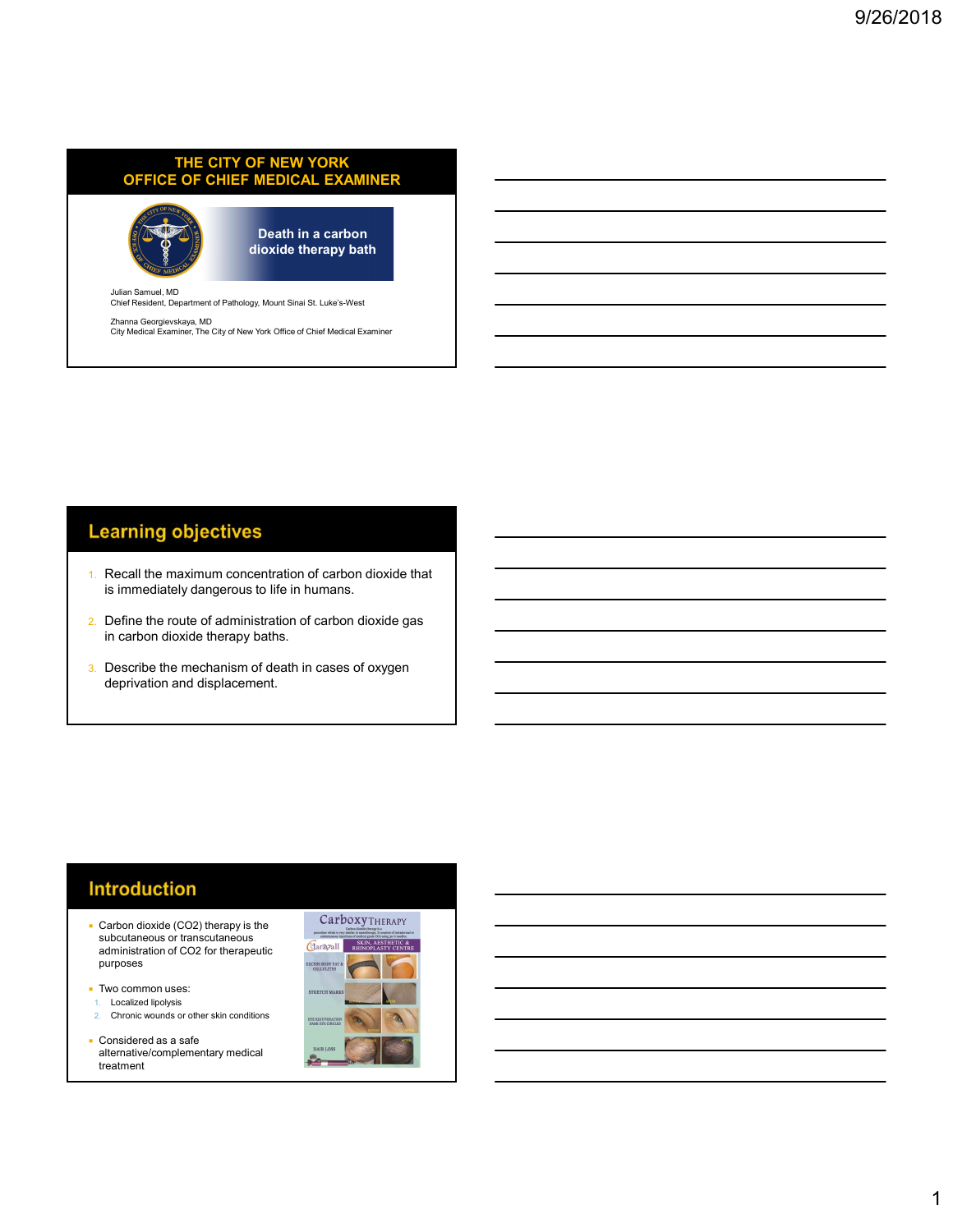# THE CITY OF NEW YORK OFFICE OF CHIEF MEDICAL EXAMINER THE CITY OF NEW YORK<br>
OFFICE OF CHIEF MEDICAL EXAMINER<br>
Doath in a carbon<br>
dioxide therapy bath<br>
Chief Resident, Department of Pathology, Mount Sinai St. Luke's-West<br>
Zhanna Georgievskaya, MD<br>
Chy Medical Examiner, The Chy



Death in a carbon dioxide therapy bath

Julian Samuel, MD Chief Resident, Department of Pathology, Mount Sinai St. Luke's-West

Zhanna Georgievskaya, MD<br>City Medical Examiner, The City of New York Office of Chief Medical Examiner

## **Learning objectives**

- 1. Recall the maximum concentration of carbon dioxide that is immediately dangerous to life in humans.
- 2. Define the route of administration of carbon dioxide gas in carbon dioxide therapy baths.
- 3. Describe the mechanism of death in cases of oxygen deprivation and displacement.

#### **Introduction**

- subcutaneous or transcutaneous<br>
compietration of CO2 for the concursion administration of CO2 for therapeutic purposes and the contract of the contract of the contract of the contract of the contract of the contract of the contract of the contract of the contract of the contract of the contract of the contract of the contract of t
- Two common uses:
- 1. Localized lipolysis
- 2. Chronic wounds or other skin conditions
- Considered as a safe alternative/complementary medical treatment

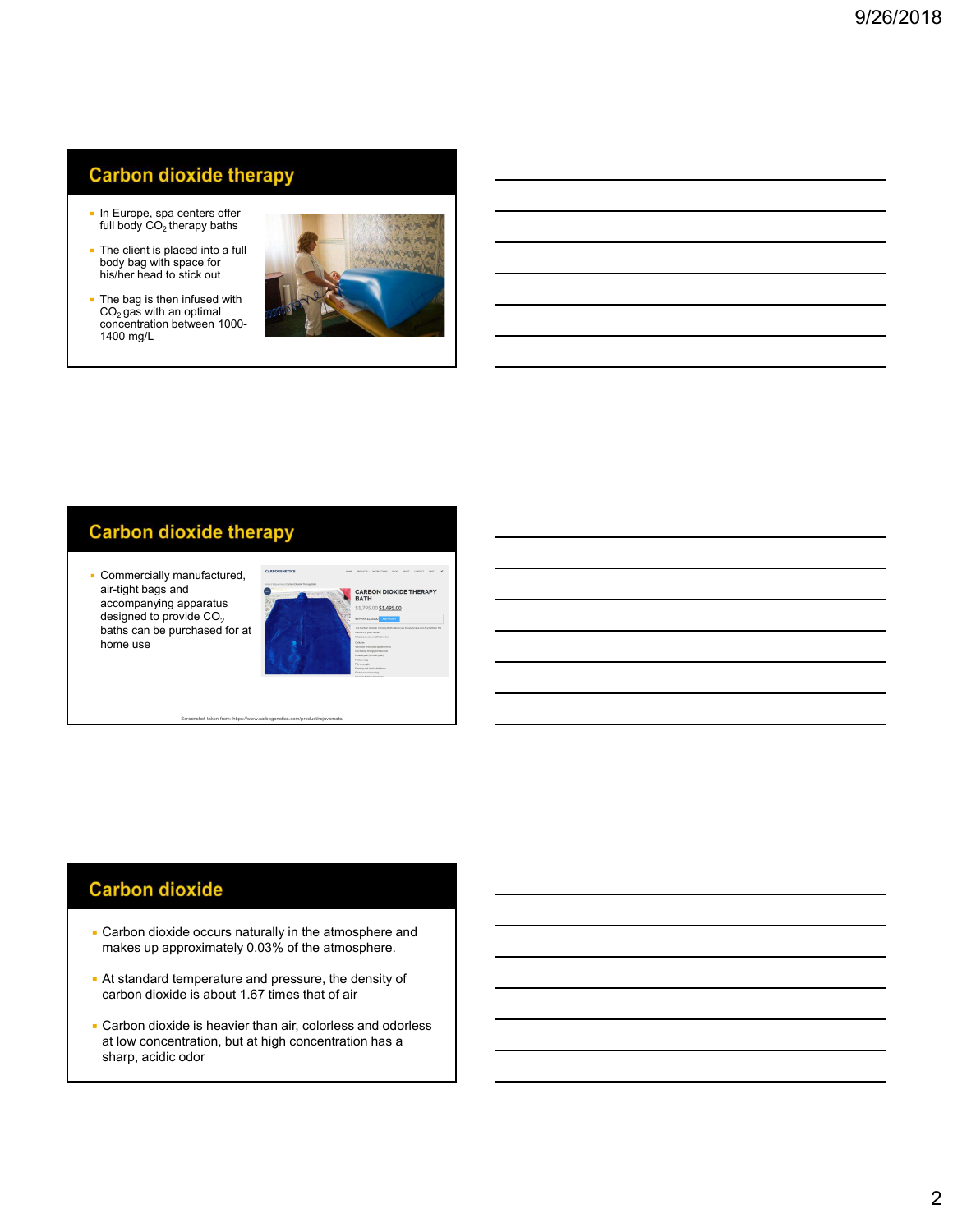# **Carbon dioxide therapy**

- In Europe, spa centers offer
- The client is placed into a full body bag with space for his/her head to stick out
- The bag is then infused with  $CO<sub>2</sub>$  gas with an optimal concentration between 1000- 1400 mg/L



## **Carbon dioxide therapy**

air-tight bags and accompanying apparatus<br>designed to provide  $CO<sub>2</sub>$ accompanying apparatus<br>designed to provide CO<sub>2</sub><br>baths can be purchased for at home use



Screenshot taken from: https://www.carbogenetics.com/product/rejuvemate/

## **Carbon dioxide**

- **Carbon dioxide occurs naturally in the atmosphere and** makes up approximately 0.03% of the atmosphere.
- At standard temperature and pressure, the density of carbon dioxide is about 1.67 times that of air
- **Carbon dioxide is heavier than air, colorless and odorless** at low concentration, but at high concentration has a sharp, acidic odor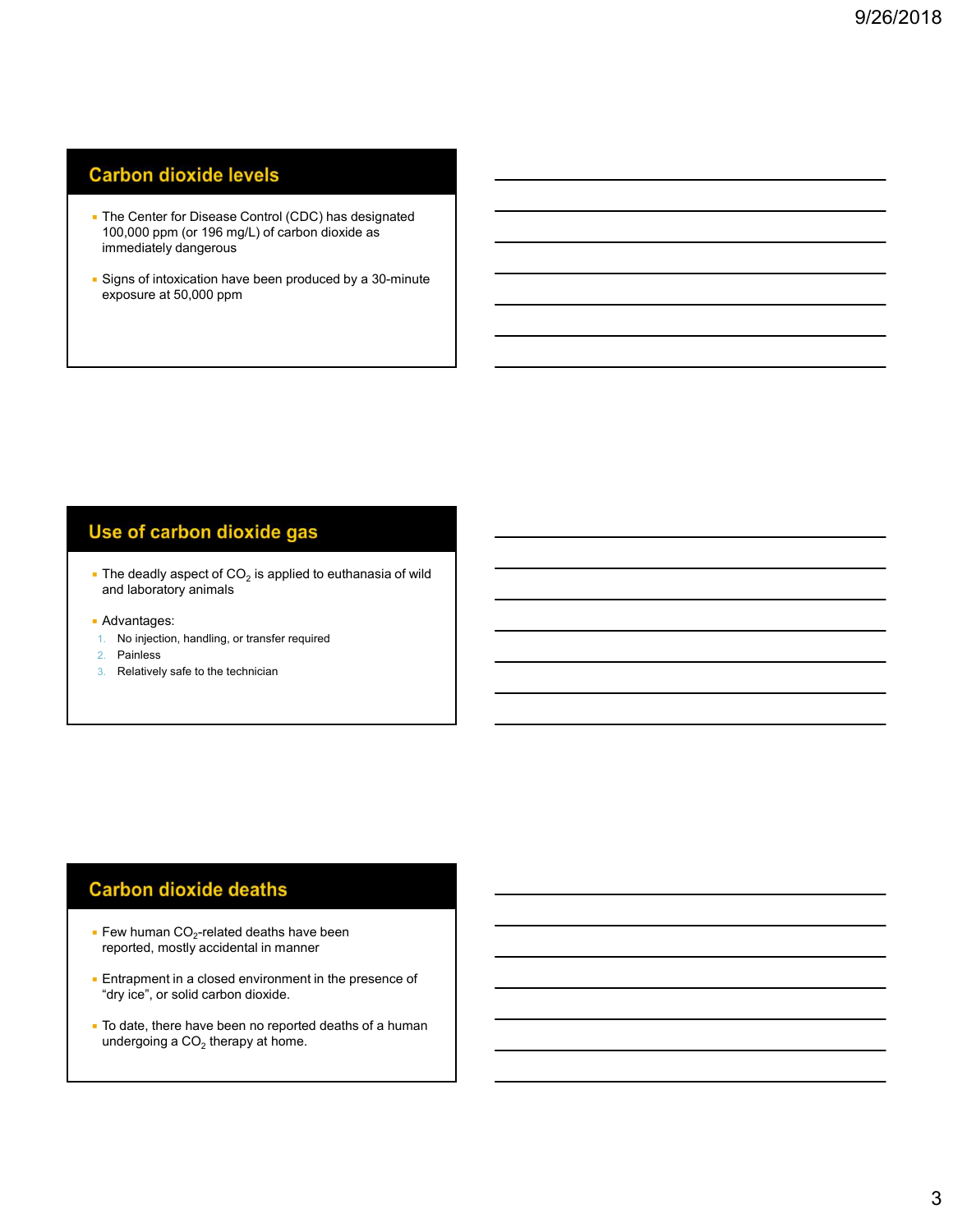# **Carbon dioxide levels**

- **The Center for Disease Control (CDC) has designated** 100,000 ppm (or 196 mg/L) of carbon dioxide as immediately dangerous
- **Signs of intoxication have been produced by a 30-minute** exposure at 50,000 ppm

- $\textcolor{red}{\bullet}$  The deadly aspect of CO<sub>2</sub> is applied to euthanasia of wild and laboratory animals **FREE THE CONDER INTERENT CO**<sub>2</sub> is applied to euthanasia of wild<br> **Exavatages:**<br>
1. No injection, handling, or transfer required<br>
2. Painless<br>
3. Relatively safe to the technician<br> **Example 1.** The properted, mostly acc
- Advantages:
- 1. No injection, handling, or transfer required
- 2. Painless
- 3. Relatively safe to the technician

- $\bullet$  Few human CO $_2$ -related deaths have been  $\hspace{1cm}$
- "dry ice", or solid carbon dioxide.
- To date, there have been no reported deaths of a human undergoing a CO $_2$  therapy at home.  $\hphantom{\big|}_{\big|}$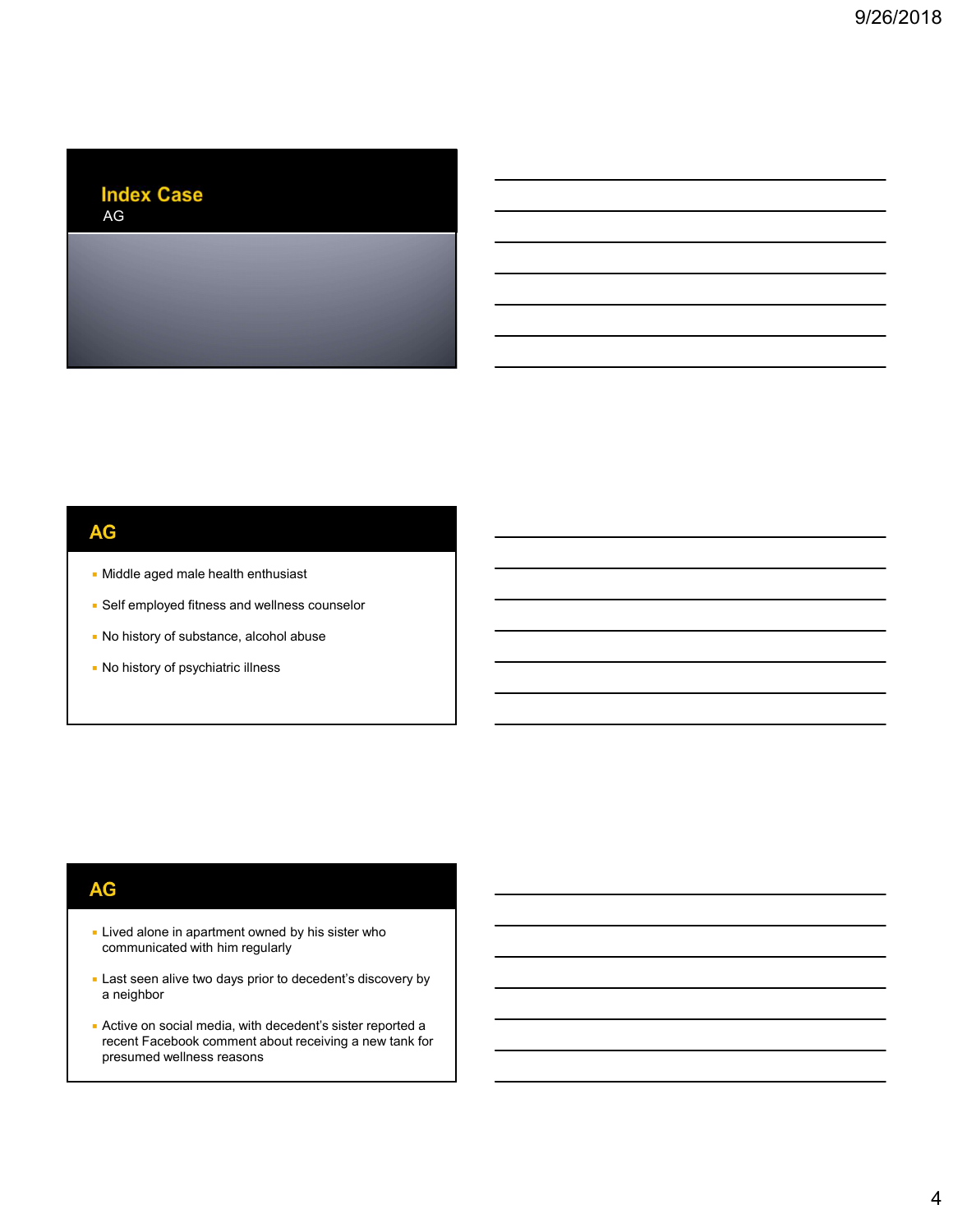#### **Index Case**  $AG$

## **AG**

- Middle aged male health enthusiast
- Self employed fitness and wellness counselor
- No history of substance, alcohol abuse
- No history of psychiatric illness

### **AG**

- **Example 2** Lived alone in apartment owned by his sister who communicated with him regularly
- **Last seen alive two days prior to decedent's discovery by** a neighbor
- Active on social media, with decedent's sister reported a recent Facebook comment about receiving a new tank for presumed wellness reasons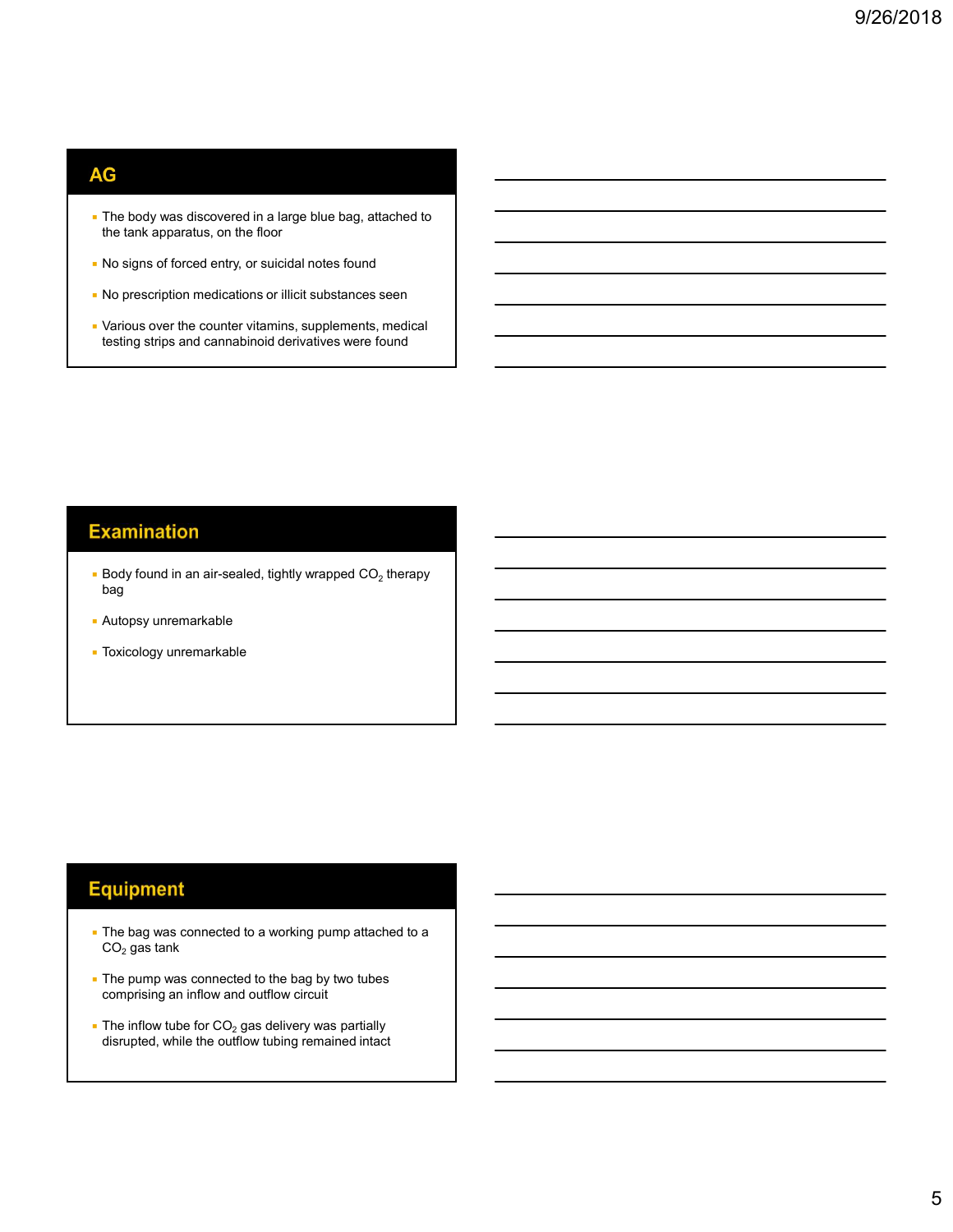#### **AG**

- **The body was discovered in a large blue bag, attached to** the tank apparatus, on the floor
- No signs of forced entry, or suicidal notes found
- No prescription medications or illicit substances seen
- Various over the counter vitamins, supplements, medical testing strips and cannabinoid derivatives were found

## **Examination**

- $\bullet$  Body found in an air-sealed, tightly wrapped CO $_2$  therapy  $\qquad \qquad \qquad$ bag
- Autopsy unremarkable
- **Toxicology unremarkable**

### **Equipment**

- **The bag was connected to a working pump attached to a**  $\mathsf{CO}_2$  gas tank  $\mathsf{CO}_2$
- **The pump was connected to the bag by two tubes** comprising an inflow and outflow circuit
- **The inflow tube for CO<sub>2</sub> gas delivery was partially example the solution of**  $\overline{ }$ disrupted, while the outflow tubing remained intact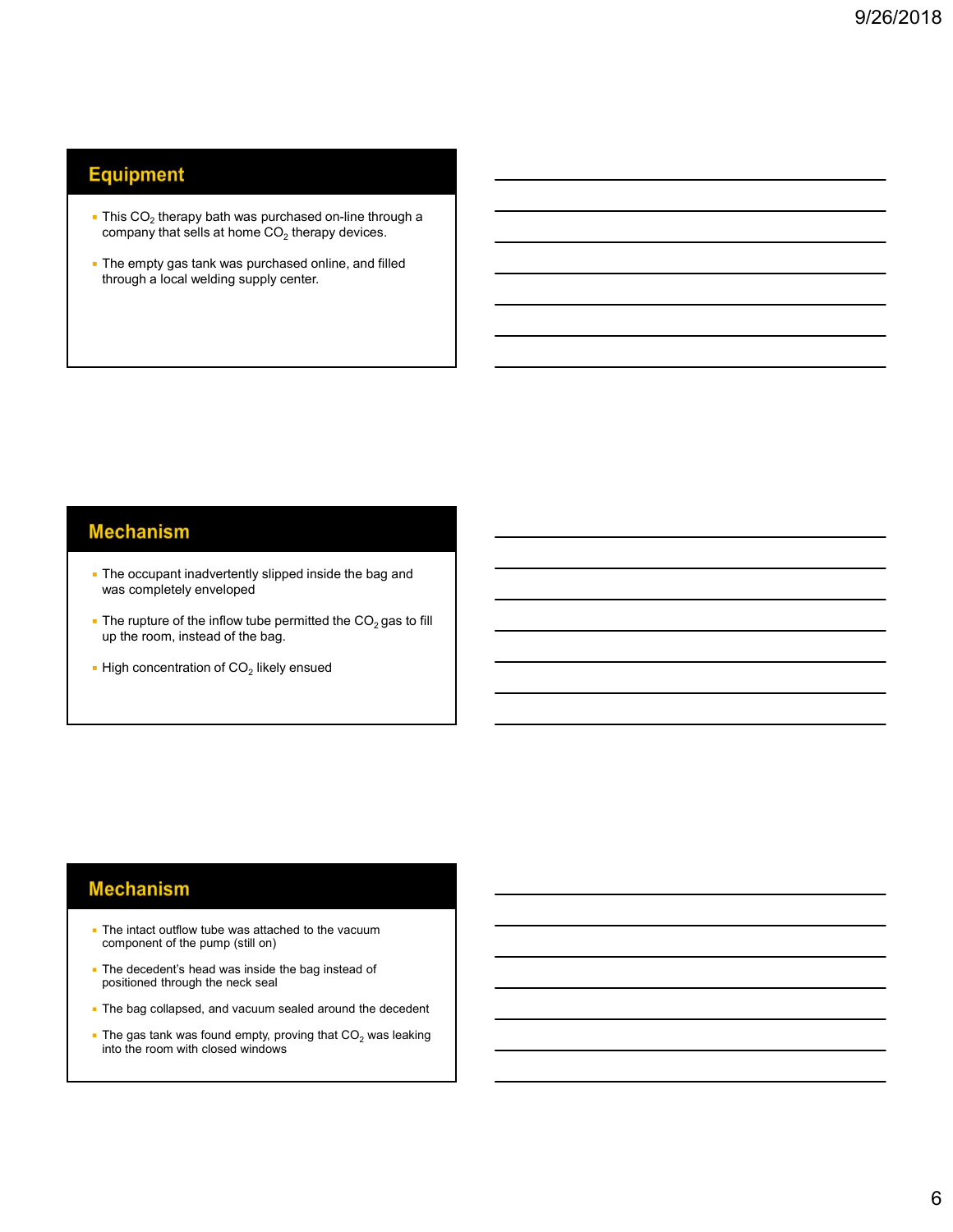# **Equipment**

- $\bullet$  This CO<sub>2</sub> therapy bath was purchased on-line through a company that sells at home CO $_2$  therapy devices.  $\hphantom{\ddots}$
- **The empty gas tank was purchased online, and filled** through a local welding supply center.

#### **Mechanism**

- **The occupant inadvertently slipped inside the bag and** was completely enveloped
- The rupture of the inflow tube permitted the  $CO<sub>2</sub>$  gas to fill up the room, instead of the bag.
- $\blacksquare$  High concentration of CO<sub>2</sub> likely ensued  $\blacksquare$

#### **Mechanism**

- **The intact outflow tube was attached to the vacuum** component of the pump (still on)
- **The decedent's head was inside the bag instead of** positioned through the neck seal
- **The bag collapsed, and vacuum sealed around the decedent**
- The gas tank was found empty, proving that CO2 was leaking into the room with closed windows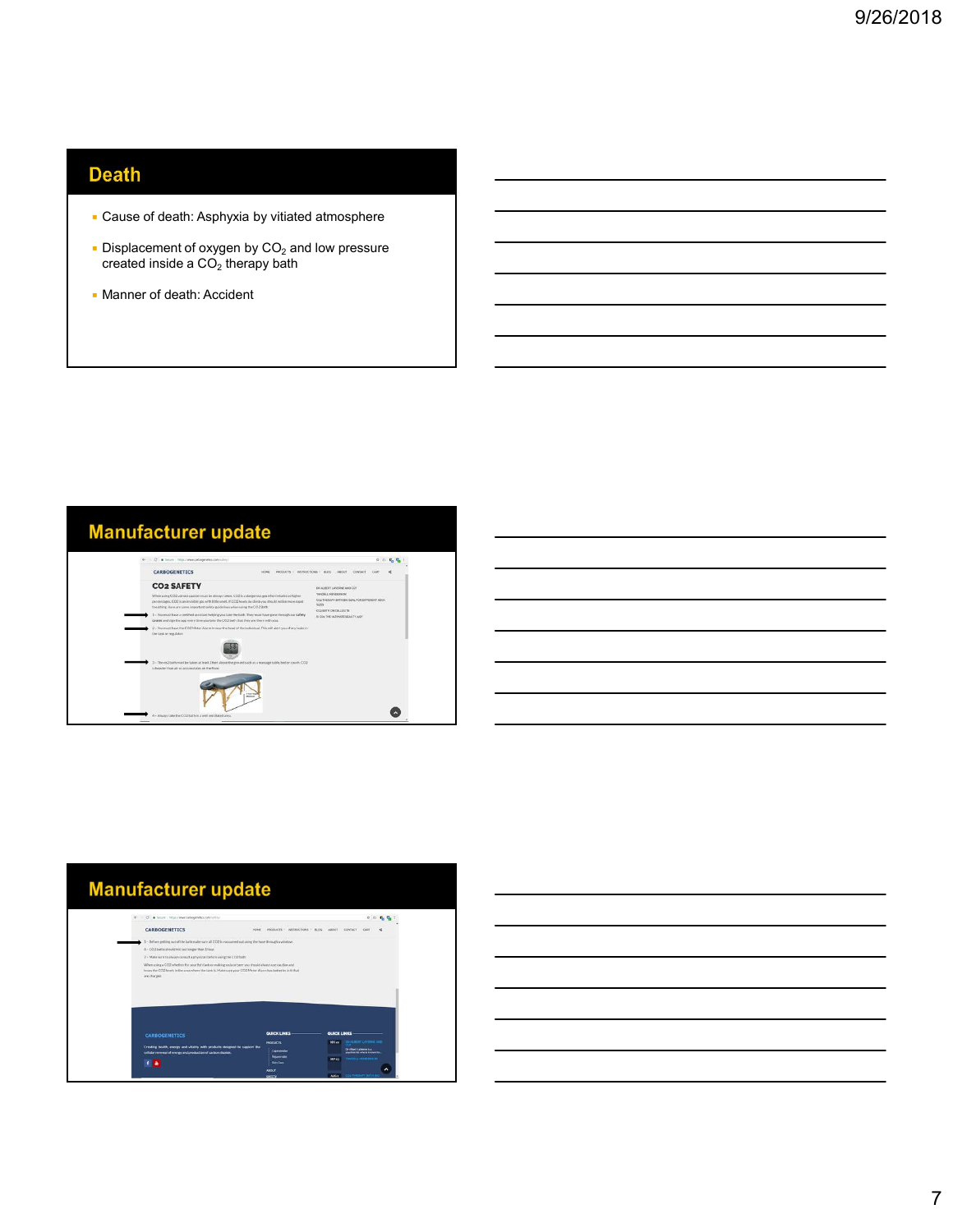# **Death**

- Cause of death: Asphyxia by vitiated atmosphere
- **Displacement of oxygen by CO<sub>2</sub>** and low pressure  $\begin{array}{|c|c|c|c|c|}\n\hline\n\end{array}$ created inside a CO $_2$  therapy bath  $\hbox{I}$
- Manner of death: Accident



| <b>Manufacturer update</b>                                                                                                                                                                                                                                                                                                                                                                                                                                                 |                                                                                                         |                                                                                                                                                                                               |
|----------------------------------------------------------------------------------------------------------------------------------------------------------------------------------------------------------------------------------------------------------------------------------------------------------------------------------------------------------------------------------------------------------------------------------------------------------------------------|---------------------------------------------------------------------------------------------------------|-----------------------------------------------------------------------------------------------------------------------------------------------------------------------------------------------|
| C & Secure   Miss / Www.tartogenetics.commulary/                                                                                                                                                                                                                                                                                                                                                                                                                           |                                                                                                         | 0.01                                                                                                                                                                                          |
| <b>CARBOGENETICS</b>                                                                                                                                                                                                                                                                                                                                                                                                                                                       | <b>HOME</b>                                                                                             | PRODUCTS - INSTRUCTIONS - RLOO AROUT CONTACT<br>CART                                                                                                                                          |
| 5 - Before getting out of the bath make sure all CO2 is vacuureed out using the hose through a window.<br>6 - CO2 baths should not last longer than I hour.<br>7 - Make sure to always consult a physician before using the CO2 bath<br>When uning a CO2 whether for your fish tank or making soda or beer you should always use caution and<br>know the CO2 levels in the area where the tank is. Make sore your CO2 Meter Alarm has batteries in it that<br>are charged. |                                                                                                         |                                                                                                                                                                                               |
| <b>CARBOGENETICS</b><br>Creating health, energy and vitality with products designed to support the<br>cellular renewal of energy and production of carbon dioxide.                                                                                                                                                                                                                                                                                                         | <b>QUICK LINKS</b><br><b>PRODUCTS</b><br>Capricereiter<br>Reknemate<br><b>Skin Care</b><br><b>ABOUT</b> | QUICK LINKS<br>THE ALBERT LAVERNE AND<br>000 22<br>Or Albert Editoria Inc.<br>associated who is transmissive.<br><b>IMADOLE INTHENEUM</b><br><b>SEP23</b><br><b>AUG 1 COO THEBAPY BAYNERO</b> |